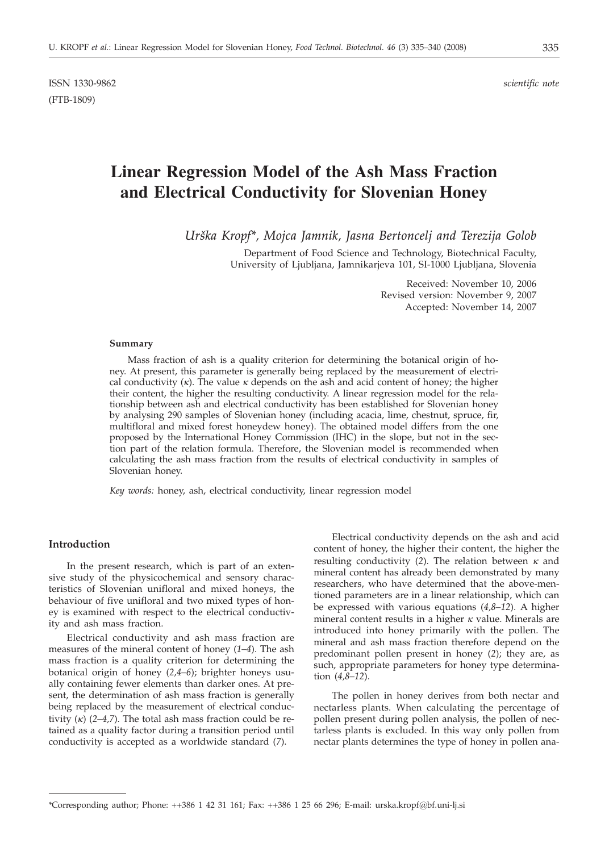ISSN 1330-9862 *scientific note* (FTB-1809)

# **Linear Regression Model of the Ash Mass Fraction and Electrical Conductivity for Slovenian Honey**

*Ur{ka Kropf\*, Mojca Jamnik, Jasna Bertoncelj and Terezija Golob*

Department of Food Science and Technology, Biotechnical Faculty, University of Ljubljana, Jamnikarjeva 101, SI-1000 Ljubljana, Slovenia

> Received: November 10, 2006 Revised version: November 9, 2007 Accepted: November 14, 2007

#### **Summary**

Mass fraction of ash is a quality criterion for determining the botanical origin of honey. At present, this parameter is generally being replaced by the measurement of electrical conductivity  $(\kappa)$ . The value  $\kappa$  depends on the ash and acid content of honey; the higher their content, the higher the resulting conductivity. A linear regression model for the relationship between ash and electrical conductivity has been established for Slovenian honey by analysing 290 samples of Slovenian honey (including acacia, lime, chestnut, spruce, fir, multifloral and mixed forest honeydew honey). The obtained model differs from the one proposed by the International Honey Commission (IHC) in the slope, but not in the section part of the relation formula. Therefore, the Slovenian model is recommended when calculating the ash mass fraction from the results of electrical conductivity in samples of Slovenian honey.

*Key words:* honey, ash, electrical conductivity, linear regression model

### **Introduction**

In the present research, which is part of an extensive study of the physicochemical and sensory characteristics of Slovenian unifloral and mixed honeys, the behaviour of five unifloral and two mixed types of honey is examined with respect to the electrical conductivity and ash mass fraction.

Electrical conductivity and ash mass fraction are measures of the mineral content of honey (*1–4*). The ash mass fraction is a quality criterion for determining the botanical origin of honey (*2,4–6*); brighter honeys usually containing fewer elements than darker ones. At present, the determination of ash mass fraction is generally being replaced by the measurement of electrical conductivity  $(k)$  (2–4,7). The total ash mass fraction could be retained as a quality factor during a transition period until conductivity is accepted as a worldwide standard (*7*).

Electrical conductivity depends on the ash and acid content of honey, the higher their content, the higher the resulting conductivity (2). The relation between  $\kappa$  and mineral content has already been demonstrated by many researchers, who have determined that the above-mentioned parameters are in a linear relationship, which can be expressed with various equations (*4,8–12*). A higher mineral content results in a higher *k* value. Minerals are introduced into honey primarily with the pollen. The mineral and ash mass fraction therefore depend on the predominant pollen present in honey (*2*); they are, as such, appropriate parameters for honey type determination (*4,8–12*).

The pollen in honey derives from both nectar and nectarless plants. When calculating the percentage of pollen present during pollen analysis, the pollen of nectarless plants is excluded. In this way only pollen from nectar plants determines the type of honey in pollen ana-

<sup>\*</sup>Corresponding author; Phone: ++386 1 42 31 161; Fax: ++386 1 25 66 296; E-mail: urska.kropf@bf.uni-lj.si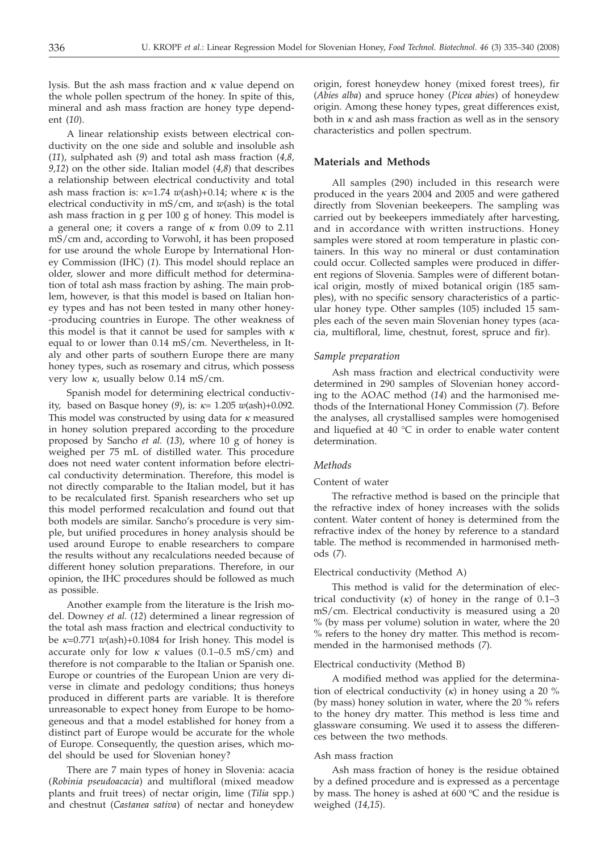lysis. But the ash mass fraction and *k* value depend on the whole pollen spectrum of the honey. In spite of this, mineral and ash mass fraction are honey type dependent (*10*).

A linear relationship exists between electrical conductivity on the one side and soluble and insoluble ash (*11*), sulphated ash (*9*) and total ash mass fraction (*4,8, 9,12*) on the other side. Italian model (*4,8*) that describes a relationship between electrical conductivity and total ash mass fraction is:  $\kappa$ =1.74  $w$ (ash)+0.14; where  $\kappa$  is the electrical conductivity in mS/cm, and *w*(ash) is the total ash mass fraction in g per 100 g of honey. This model is a general one; it covers a range of  $\kappa$  from 0.09 to 2.11 mS/cm and, according to Vorwohl, it has been proposed for use around the whole Europe by International Honey Commission (IHC) (*1*). This model should replace an older, slower and more difficult method for determination of total ash mass fraction by ashing. The main problem, however, is that this model is based on Italian honey types and has not been tested in many other honey- -producing countries in Europe. The other weakness of this model is that it cannot be used for samples with *k* equal to or lower than 0.14 mS/cm. Nevertheless, in Italy and other parts of southern Europe there are many honey types, such as rosemary and citrus, which possess very low *k*, usually below 0.14 mS/cm.

Spanish model for determining electrical conductivity, based on Basque honey (*9*), is: *k*= 1.205 *<sup>w</sup>*(ash)+0.092. This model was constructed by using data for *k* measured in honey solution prepared according to the procedure proposed by Sancho *et al.* (*13*), where 10 g of honey is weighed per 75 mL of distilled water. This procedure does not need water content information before electrical conductivity determination. Therefore, this model is not directly comparable to the Italian model, but it has to be recalculated first. Spanish researchers who set up this model performed recalculation and found out that both models are similar. Sancho's procedure is very simple, but unified procedures in honey analysis should be used around Europe to enable researchers to compare the results without any recalculations needed because of different honey solution preparations. Therefore, in our opinion, the IHC procedures should be followed as much as possible.

Another example from the literature is the Irish model. Downey *et al.* (*12*) determined a linear regression of the total ash mass fraction and electrical conductivity to be *k*=0.771 *<sup>w</sup>*(ash)+0.1084 for Irish honey. This model is accurate only for low  $\kappa$  values (0.1–0.5 mS/cm) and therefore is not comparable to the Italian or Spanish one. Europe or countries of the European Union are very diverse in climate and pedology conditions; thus honeys produced in different parts are variable. It is therefore unreasonable to expect honey from Europe to be homogeneous and that a model established for honey from a distinct part of Europe would be accurate for the whole of Europe. Consequently, the question arises, which model should be used for Slovenian honey?

There are 7 main types of honey in Slovenia: acacia (*Robinia pseudoacacia*) and multifloral (mixed meadow plants and fruit trees) of nectar origin, lime (*Tilia* spp.) and chestnut (*Castanea sativa*) of nectar and honeydew

origin, forest honeydew honey (mixed forest trees), fir (*Abies alba*) and spruce honey (*Picea abies*) of honeydew origin. Among these honey types, great differences exist, both in  $\kappa$  and ash mass fraction as well as in the sensory characteristics and pollen spectrum.

# **Materials and Methods**

All samples (290) included in this research were produced in the years 2004 and 2005 and were gathered directly from Slovenian beekeepers. The sampling was carried out by beekeepers immediately after harvesting, and in accordance with written instructions. Honey samples were stored at room temperature in plastic containers. In this way no mineral or dust contamination could occur. Collected samples were produced in different regions of Slovenia. Samples were of different botanical origin, mostly of mixed botanical origin (185 samples), with no specific sensory characteristics of a particular honey type. Other samples (105) included 15 samples each of the seven main Slovenian honey types (acacia, multifloral, lime, chestnut, forest, spruce and fir).

#### *Sample preparation*

Ash mass fraction and electrical conductivity were determined in 290 samples of Slovenian honey according to the AOAC method (*14*) and the harmonised methods of the International Honey Commission (*7*). Before the analyses, all crystallised samples were homogenised and liquefied at 40 °C in order to enable water content determination.

## *Methods*

#### Content of water

The refractive method is based on the principle that the refractive index of honey increases with the solids content. Water content of honey is determined from the refractive index of the honey by reference to a standard table. The method is recommended in harmonised methods (*7*).

#### Electrical conductivity (Method A)

This method is valid for the determination of electrical conductivity  $(k)$  of honey in the range of  $0.1-3$ mS/cm. Electrical conductivity is measured using a 20 % (by mass per volume) solution in water, where the 20 % refers to the honey dry matter. This method is recommended in the harmonised methods (*7*).

### Electrical conductivity (Method B)

A modified method was applied for the determination of electrical conductivity (*k*) in honey using a 20 % (by mass) honey solution in water, where the 20 % refers to the honey dry matter. This method is less time and glassware consuming. We used it to assess the differences between the two methods.

#### Ash mass fraction

Ash mass fraction of honey is the residue obtained by a defined procedure and is expressed as a percentage by mass. The honey is ashed at  $600 °C$  and the residue is weighed (*14,15*).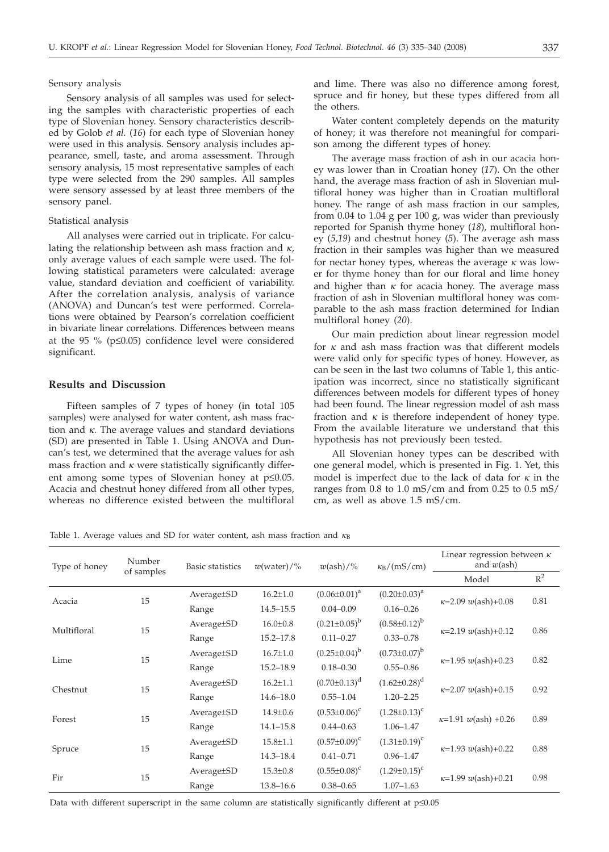## Sensory analysis

Sensory analysis of all samples was used for selecting the samples with characteristic properties of each type of Slovenian honey. Sensory characteristics described by Golob *et al.* (*16*) for each type of Slovenian honey were used in this analysis. Sensory analysis includes appearance, smell, taste, and aroma assessment. Through sensory analysis, 15 most representative samples of each type were selected from the 290 samples. All samples were sensory assessed by at least three members of the sensory panel.

#### Statistical analysis

All analyses were carried out in triplicate. For calculating the relationship between ash mass fraction and *k*, only average values of each sample were used. The following statistical parameters were calculated: average value, standard deviation and coefficient of variability. After the correlation analysis, analysis of variance (ANOVA) and Duncan's test were performed. Correlations were obtained by Pearson's correlation coefficient in bivariate linear correlations. Differences between means at the 95 % ( $p \le 0.05$ ) confidence level were considered significant.

## **Results and Discussion**

Fifteen samples of 7 types of honey (in total 105 samples) were analysed for water content, ash mass fraction and *k*. The average values and standard deviations (SD) are presented in Table 1. Using ANOVA and Duncan's test, we determined that the average values for ash mass fraction and  $\kappa$  were statistically significantly different among some types of Slovenian honey at  $p\leq 0.05$ . Acacia and chestnut honey differed from all other types, whereas no difference existed between the multifloral

and lime. There was also no difference among forest, spruce and fir honey, but these types differed from all the others.

Water content completely depends on the maturity of honey; it was therefore not meaningful for comparison among the different types of honey.

The average mass fraction of ash in our acacia honey was lower than in Croatian honey (*17*). On the other hand, the average mass fraction of ash in Slovenian multifloral honey was higher than in Croatian multifloral honey. The range of ash mass fraction in our samples, from 0.04 to 1.04 g per 100 g, was wider than previously reported for Spanish thyme honey (*18*), multifloral honey (*5,19*) and chestnut honey (*5*). The average ash mass fraction in their samples was higher than we measured for nectar honey types, whereas the average *k* was lower for thyme honey than for our floral and lime honey and higher than  $\kappa$  for acacia honey. The average mass fraction of ash in Slovenian multifloral honey was comparable to the ash mass fraction determined for Indian multifloral honey (*20*).

Our main prediction about linear regression model for *k* and ash mass fraction was that different models were valid only for specific types of honey. However, as can be seen in the last two columns of Table 1, this anticipation was incorrect, since no statistically significant differences between models for different types of honey had been found. The linear regression model of ash mass fraction and  $\kappa$  is therefore independent of honey type. From the available literature we understand that this hypothesis has not previously been tested.

All Slovenian honey types can be described with one general model, which is presented in Fig. 1. Yet, this model is imperfect due to the lack of data for  $\kappa$  in the ranges from 0.8 to 1.0 mS/cm and from 0.25 to 0.5 mS/ cm, as well as above 1.5 mS/cm.

Table 1. Average values and SD for water content, ash mass fraction and  $\kappa_B$ 

| Type of honey | Number<br>of samples | <b>Basic statistics</b> | $w(\text{water})/$ % | $w(\text{ash})/\%$    | $\kappa_B/(mS/cm)$    | Linear regression between $\kappa$<br>and $w(\text{ash})$ |       |
|---------------|----------------------|-------------------------|----------------------|-----------------------|-----------------------|-----------------------------------------------------------|-------|
|               |                      |                         |                      |                       |                       | Model                                                     | $R^2$ |
| Acacia        | 15                   | $Average \pm SD$        | $16.2 \pm 1.0$       | $(0.06 \pm 0.01)^a$   | $(0.20 \pm 0.03)^a$   | $\kappa = 2.09$ w(ash)+0.08                               | 0.81  |
|               |                      | Range                   | $14.5 - 15.5$        | $0.04 - 0.09$         | $0.16 - 0.26$         |                                                           |       |
| Multifloral   | 15                   | Average±SD              | $16.0 \pm 0.8$       | $(0.21 \pm 0.05)^b$   | $(0.58 \pm 0.12)^{b}$ | $\kappa = 2.19$ w(ash)+0.12                               | 0.86  |
|               |                      | Range                   | $15.2 - 17.8$        | $0.11 - 0.27$         | $0.33 - 0.78$         |                                                           |       |
| Lime          | 15                   | Average±SD              | $16.7 \pm 1.0$       | $(0.25 \pm 0.04)^{b}$ | $(0.73 \pm 0.07)^b$   | $\kappa$ =1.95 $w(\text{ash})+0.23$                       | 0.82  |
|               |                      | Range                   | $15.2 - 18.9$        | $0.18 - 0.30$         | $0.55 - 0.86$         |                                                           |       |
| Chestnut      | 15                   | $Average \pm SD$        | $16.2 \pm 1.1$       | $(0.70 \pm 0.13)^d$   | $(1.62 \pm 0.28)^d$   | $\kappa = 2.07$ w(ash)+0.15                               | 0.92  |
|               |                      | Range                   | $14.6 - 18.0$        | $0.55 - 1.04$         | $1.20 - 2.25$         |                                                           |       |
| Forest        | 15                   | $Average \pm SD$        | $14.9 \pm 0.6$       | $(0.53 \pm 0.06)^c$   | $(1.28 \pm 0.13)^c$   | $\kappa$ =1.91 w(ash) +0.26                               | 0.89  |
|               |                      | Range                   | $14.1 - 15.8$        | $0.44 - 0.63$         | $1.06 - 1.47$         |                                                           |       |
| Spruce        | 15                   | $Average \pm SD$        | $15.8 \pm 1.1$       | $(0.57 \pm 0.09)^c$   | $(1.31\pm0.19)^c$     | $\kappa$ =1.93 $w(\text{ash})+0.22$                       | 0.88  |
|               |                      | Range                   | $14.3 - 18.4$        | $0.41 - 0.71$         | $0.96 - 1.47$         |                                                           |       |
| Fir           | 15                   | Average±SD              | $15.3 \pm 0.8$       | $(0.55 \pm 0.08)^c$   | $(1.29 \pm 0.15)^c$   | $\kappa$ =1.99 $w(\text{ash})+0.21$                       | 0.98  |
|               |                      | Range                   | $13.8 - 16.6$        | $0.38 - 0.65$         | $1.07 - 1.63$         |                                                           |       |

Data with different superscript in the same column are statistically significantly different at  $p\leq 0.05$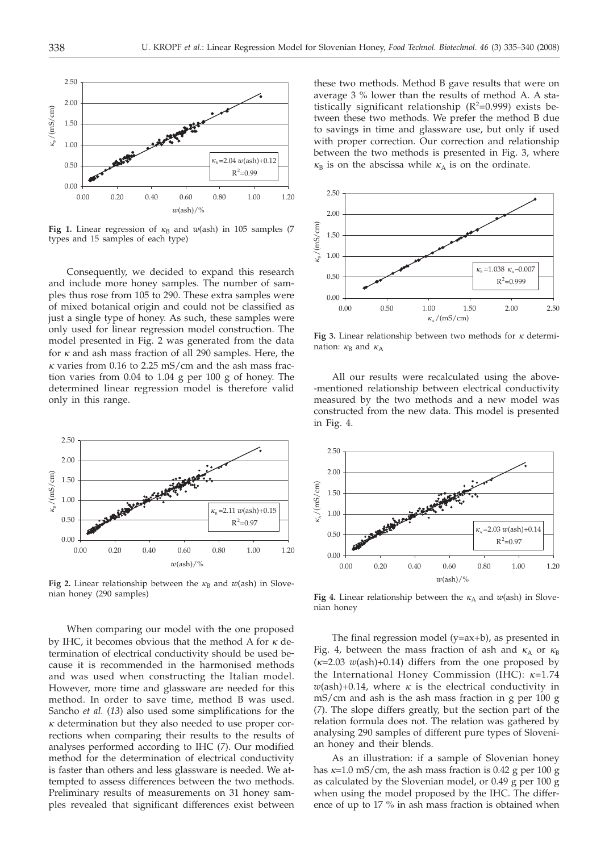

Fig 1. Linear regression of  $\kappa_B$  and  $w(\text{ash})$  in 105 samples (7 types and 15 samples of each type)

Consequently, we decided to expand this research and include more honey samples. The number of samples thus rose from 105 to 290. These extra samples were of mixed botanical origin and could not be classified as just a single type of honey. As such, these samples were only used for linear regression model construction. The model presented in Fig. 2 was generated from the data for *k* and ash mass fraction of all 290 samples. Here, the  $\kappa$  varies from 0.16 to 2.25 mS/cm and the ash mass fraction varies from 0.04 to 1.04 g per 100 g of honey. The determined linear regression model is therefore valid only in this range.



**Fig 2.** Linear relationship between the  $\kappa_B$  and  $w$ (ash) in Slovenian honey (290 samples)

When comparing our model with the one proposed by IHC, it becomes obvious that the method A for *k* determination of electrical conductivity should be used because it is recommended in the harmonised methods and was used when constructing the Italian model. However, more time and glassware are needed for this method. In order to save time, method B was used. Sancho *et al.* (*13*) also used some simplifications for the *k* determination but they also needed to use proper corrections when comparing their results to the results of analyses performed according to IHC (*7*). Our modified method for the determination of electrical conductivity is faster than others and less glassware is needed. We attempted to assess differences between the two methods. Preliminary results of measurements on 31 honey samples revealed that significant differences exist between

these two methods. Method B gave results that were on average 3 % lower than the results of method A. A statistically significant relationship  $(R^2=0.999)$  exists between these two methods. We prefer the method B due to savings in time and glassware use, but only if used with proper correction. Our correction and relationship between the two methods is presented in Fig. 3, where  $\kappa_{\rm B}$  is on the abscissa while  $\kappa_{\rm A}$  is on the ordinate.



**Fig 3.** Linear relationship between two methods for *k* determination:  $\kappa_B$  and  $\kappa_A$ 

All our results were recalculated using the above- -mentioned relationship between electrical conductivity measured by the two methods and a new model was constructed from the new data. This model is presented in Fig. 4.



**Fig 4.** Linear relationship between the  $\kappa_A$  and  $w$ (ash) in Slovenian honey

The final regression model  $(y=ax+b)$ , as presented in Fig. 4, between the mass fraction of ash and  $\kappa_A$  or  $\kappa_B$  $(k=2.03 \, w(\text{ash})+0.14)$  differs from the one proposed by the International Honey Commission (IHC): *k*=1.74  $w(\text{ash})+0.14$ , where  $\kappa$  is the electrical conductivity in mS/cm and ash is the ash mass fraction in g per 100 g (*7*). The slope differs greatly, but the section part of the relation formula does not. The relation was gathered by analysing 290 samples of different pure types of Slovenian honey and their blends.

As an illustration: if a sample of Slovenian honey has  $\kappa$ =1.0 mS/cm, the ash mass fraction is 0.42 g per 100 g as calculated by the Slovenian model, or 0.49 g per 100 g when using the model proposed by the IHC. The difference of up to 17 % in ash mass fraction is obtained when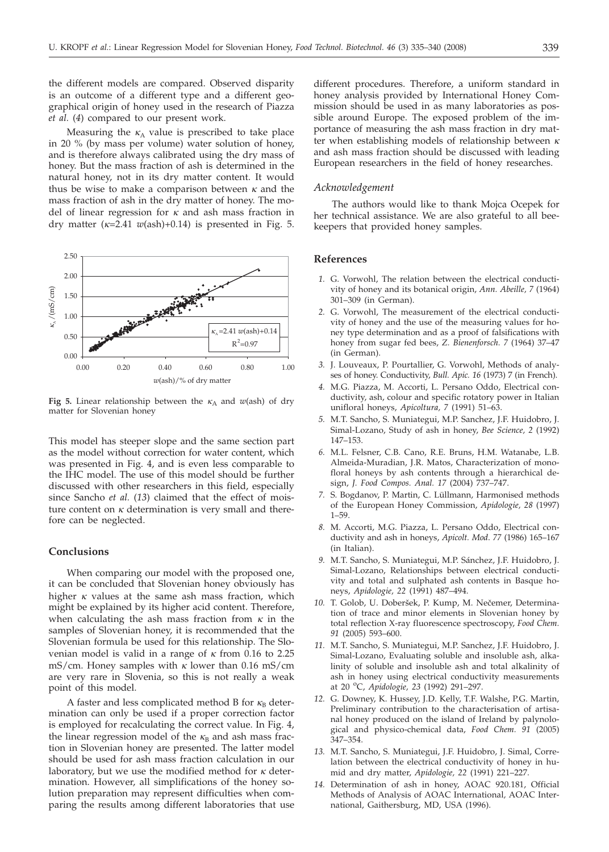the different models are compared. Observed disparity is an outcome of a different type and a different geographical origin of honey used in the research of Piazza *et al.* (*4*) compared to our present work.

Measuring the  $\kappa_A$  value is prescribed to take place in 20 % (by mass per volume) water solution of honey, and is therefore always calibrated using the dry mass of honey. But the mass fraction of ash is determined in the natural honey, not in its dry matter content. It would thus be wise to make a comparison between *k* and the mass fraction of ash in the dry matter of honey. The model of linear regression for *k* and ash mass fraction in dry matter  $(\kappa=2.41 \ w(\text{ash})+0.14)$  is presented in Fig. 5.



Fig 5. Linear relationship between the  $\kappa_A$  and  $w(\text{ash})$  of dry matter for Slovenian honey

This model has steeper slope and the same section part as the model without correction for water content, which was presented in Fig. 4, and is even less comparable to the IHC model. The use of this model should be further discussed with other researchers in this field, especially since Sancho *et al.* (*13*) claimed that the effect of moisture content on *k* determination is very small and therefore can be neglected.

# **Conclusions**

When comparing our model with the proposed one, it can be concluded that Slovenian honey obviously has higher  $\kappa$  values at the same ash mass fraction, which might be explained by its higher acid content. Therefore, when calculating the ash mass fraction from  $\kappa$  in the samples of Slovenian honey, it is recommended that the Slovenian formula be used for this relationship. The Slovenian model is valid in a range of *k* from 0.16 to 2.25 mS/cm. Honey samples with  $\kappa$  lower than 0.16 mS/cm are very rare in Slovenia, so this is not really a weak point of this model.

A faster and less complicated method B for  $\kappa_B$  determination can only be used if a proper correction factor is employed for recalculating the correct value. In Fig. 4, the linear regression model of the  $\kappa_B$  and ash mass fraction in Slovenian honey are presented. The latter model should be used for ash mass fraction calculation in our laboratory, but we use the modified method for *k* determination. However, all simplifications of the honey solution preparation may represent difficulties when comparing the results among different laboratories that use

different procedures. Therefore, a uniform standard in honey analysis provided by International Honey Commission should be used in as many laboratories as possible around Europe. The exposed problem of the importance of measuring the ash mass fraction in dry matter when establishing models of relationship between *k* and ash mass fraction should be discussed with leading European researchers in the field of honey researches.

## *Acknowledgement*

The authors would like to thank Mojca Ocepek for her technical assistance. We are also grateful to all beekeepers that provided honey samples.

## **References**

- *1.* G. Vorwohl, The relation between the electrical conductivity of honey and its botanical origin, *Ann. Abeille, 7* (1964) 301–309 (in German).
- *2.* G. Vorwohl, The measurement of the electrical conductivity of honey and the use of the measuring values for honey type determination and as a proof of falsifications with honey from sugar fed bees, *Z. Bienenforsch. 7* (1964) 37–47 (in German).
- *3.* J. Louveaux, P. Pourtallier, G. Vorwohl, Methods of analyses of honey. Conductivity, *Bull. Apic. 16* (1973) 7 (in French).
- *4.* M.G. Piazza, M. Accorti, L. Persano Oddo, Electrical conductivity, ash, colour and specific rotatory power in Italian unifloral honeys, *Apicoltura, 7* (1991) 51–63.
- *5.* M.T. Sancho, S. Muniategui, M.P. Sanchez, J.F. Huidobro, J. Simal-Lozano, Study of ash in honey, *Bee Science, 2* (1992) 147–153.
- *6.* M.L. Felsner, C.B. Cano, R.E. Bruns, H.M. Watanabe, L.B. Almeida-Muradian, J.R. Matos, Characterization of monofloral honeys by ash contents through a hierarchical design, *J. Food Compos. Anal. 17* (2004) 737–747.
- *7.* S. Bogdanov, P. Martin, C. Lüllmann, Harmonised methods of the European Honey Commission, *Apidologie, 28* (1997) 1–59.
- *8.* M. Accorti, M.G. Piazza, L. Persano Oddo, Electrical conductivity and ash in honeys, *Apicolt. Mod*. *77* (1986) 165–167 (in Italian).
- *9.* M.T. Sancho, S. Muniategui, M.P. Sánchez, J.F. Huidobro, J. Simal-Lozano, Relationships between electrical conductivity and total and sulphated ash contents in Basque honeys, *Apidologie, 22* (1991) 487–494.
- 10. T. Golob, U. Doberšek, P. Kump, M. Nečemer, Determination of trace and minor elements in Slovenian honey by total reflection X-ray fluorescence spectroscopy, *Food Chem. 91* (2005) 593–600.
- *11.* M.T. Sancho, S. Muniategui, M.P. Sanchez, J.F. Huidobro, J. Simal-Lozano, Evaluating soluble and insoluble ash, alkalinity of soluble and insoluble ash and total alkalinity of ash in honey using electrical conductivity measurements at 20 <sup>o</sup> C, *Apidologie, 23* (1992) 291–297.
- *12.* G. Downey, K. Hussey, J.D. Kelly, T.F. Walshe, P.G. Martin, Preliminary contribution to the characterisation of artisanal honey produced on the island of Ireland by palynological and physico-chemical data, *Food Chem. 91* (2005) 347–354.
- *13.* M.T. Sancho, S. Muniategui, J.F. Huidobro, J. Simal, Correlation between the electrical conductivity of honey in humid and dry matter, *Apidologie, 22* (1991) 221–227.
- *14.* Determination of ash in honey, AOAC 920.181, Official Methods of Analysis of AOAC International*,* AOAC International, Gaithersburg, MD, USA (1996).